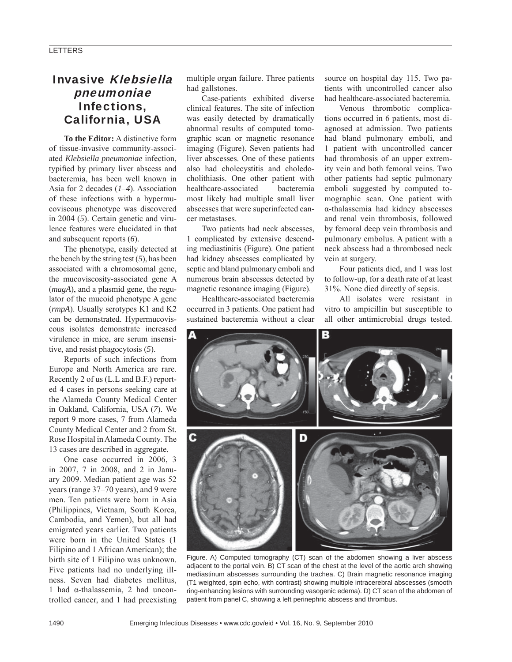# Invasive Klebsiella pneumoniae Infections, California, USA

**To the Editor:** A distinctive form of tissue-invasive community-associated *Klebsiella pneumoniae* infection, typified by primary liver abscess and bacteremia, has been well known in Asia for 2 decades (*1*–*4*). Association of these infections with a hypermucoviscous phenotype was discovered in 2004 (*5*). Certain genetic and virulence features were elucidated in that and subsequent reports (*6*).

The phenotype, easily detected at the bench by the string test (*5*), has been associated with a chromosomal gene, the mucoviscosity-associated gene A (*magA*), and a plasmid gene, the regulator of the mucoid phenotype A gene (*rmpA*). Usually serotypes K1 and K2 can be demonstrated. Hypermucoviscous isolates demonstrate increased virulence in mice, are serum insensitive, and resist phagocytosis (*5*).

Reports of such infections from Europe and North America are rare. Recently 2 of us (L.L and B.F.) reported 4 cases in persons seeking care at the Alameda County Medical Center in Oakland, California, USA (*7*). We report 9 more cases, 7 from Alameda County Medical Center and 2 from St. Rose Hospital in Alameda County. The 13 cases are described in aggregate.

One case occurred in 2006, 3 in 2007, 7 in 2008, and 2 in January 2009. Median patient age was 52 years (range 37–70 years), and 9 were men. Ten patients were born in Asia (Philippines, Vietnam, South Korea, Cambodia, and Yemen), but all had emigrated years earlier. Two patients were born in the United States (1 Filipino and 1 African American); the birth site of 1 Filipino was unknown. Five patients had no underlying illness. Seven had diabetes mellitus, 1 had α-thalassemia, 2 had uncontrolled cancer, and 1 had preexisting multiple organ failure. Three patients had gallstones.

Case-patients exhibited diverse clinical features. The site of infection was easily detected by dramatically abnormal results of computed tomographic scan or magnetic resonance imaging (Figure). Seven patients had liver abscesses. One of these patients also had cholecystitis and choledocholithiasis. One other patient with healthcare-associated bacteremia most likely had multiple small liver abscesses that were superinfected cancer metastases.

Two patients had neck abscesses, 1 complicated by extensive descending mediastinitis (Figure). One patient had kidney abscesses complicated by septic and bland pulmonary emboli and numerous brain abscesses detected by magnetic resonance imaging (Figure).

Healthcare-associated bacteremia occurred in 3 patients. One patient had sustained bacteremia without a clear

source on hospital day 115. Two patients with uncontrolled cancer also had healthcare-associated bacteremia.

Venous thrombotic complications occurred in 6 patients, most diagnosed at admission. Two patients had bland pulmonary emboli, and 1 patient with uncontrolled cancer had thrombosis of an upper extremity vein and both femoral veins. Two other patients had septic pulmonary emboli suggested by computed tomographic scan. One patient with α-thalassemia had kidney abscesses and renal vein thrombosis, followed by femoral deep vein thrombosis and pulmonary embolus. A patient with a neck abscess had a thrombosed neck vein at surgery.

Four patients died, and 1 was lost to follow-up, for a death rate of at least 31%. None died directly of sepsis.

All isolates were resistant in vitro to ampicillin but susceptible to all other antimicrobial drugs tested.



Figure. A) Computed tomography (CT) scan of the abdomen showing a liver abscess adjacent to the portal vein. B) CT scan of the chest at the level of the aortic arch showing mediastinum abscesses surrounding the trachea. C) Brain magnetic resonance imaging (T1 weighted, spin echo, with contrast) showing multiple intracerebral abscesses (smooth ring-enhancing lesions with surrounding vasogenic edema). D) CT scan of the abdomen of patient from panel C, showing a left perinephric abscess and thrombus.